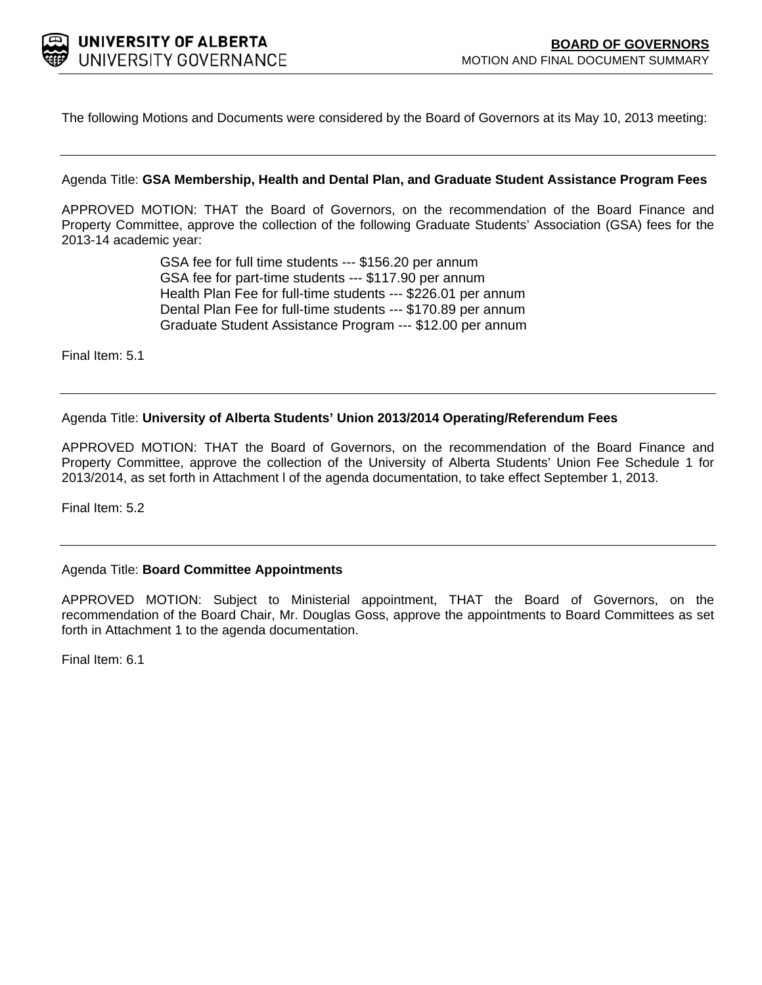

The following Motions and Documents were considered by the Board of Governors at its May 10, 2013 meeting:

#### Agenda Title: **GSA Membership, Health and Dental Plan, and Graduate Student Assistance Program Fees**

APPROVED MOTION: THAT the Board of Governors, on the recommendation of the Board Finance and Property Committee, approve the collection of the following Graduate Students' Association (GSA) fees for the 2013-14 academic year:

> GSA fee for full time students --- \$156.20 per annum GSA fee for part-time students --- \$117.90 per annum Health Plan Fee for full-time students --- \$226.01 per annum Dental Plan Fee for full-time students --- \$170.89 per annum Graduate Student Assistance Program --- \$12.00 per annum

Final Item: [5.1](#page-1-0)

#### Agenda Title: **University of Alberta Students' Union 2013/2014 Operating/Referendum Fees**

APPROVED MOTION: THAT the Board of Governors, on the recommendation of the Board Finance and Property Committee, approve the collection of the University of Alberta Students' Union Fee Schedule 1 for 2013/2014, as set forth in Attachment l of the agenda documentation, to take effect September 1, 2013.

Final Item: [5.2](#page-4-0)

#### Agenda Title: **Board Committee Appointments**

APPROVED MOTION: Subject to Ministerial appointment, THAT the Board of Governors, on the recommendation of the Board Chair, Mr. Douglas Goss, approve the appointments to Board Committees as set forth in Attachment 1 to the agenda documentation.

Final Item: [6.1](#page-10-0)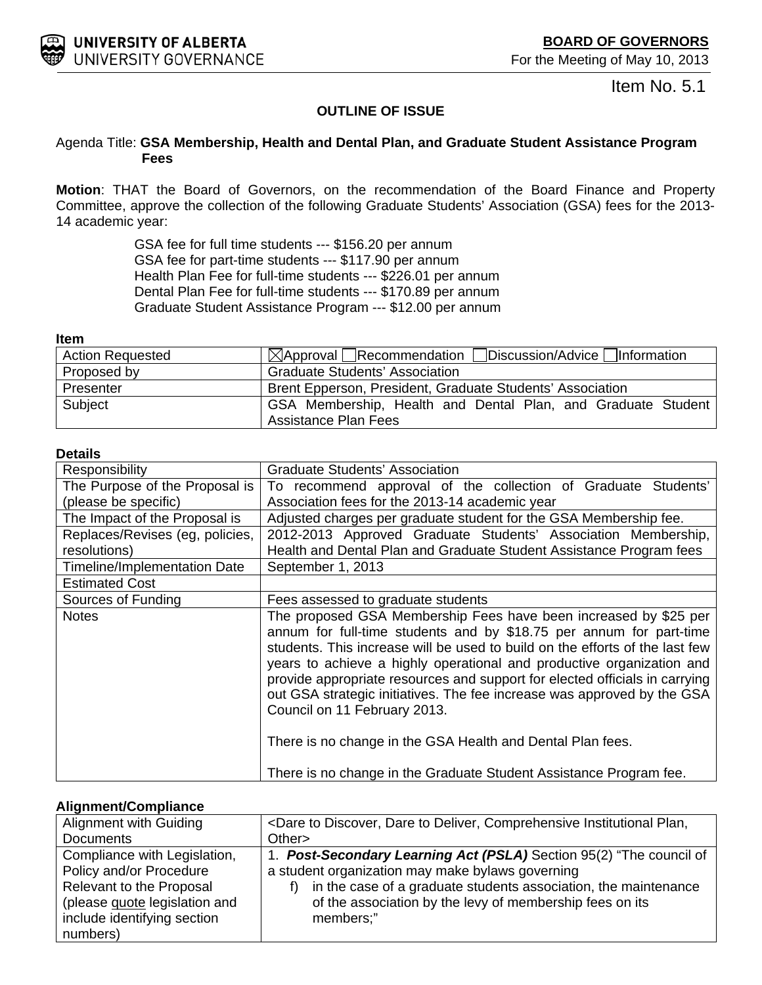<span id="page-1-0"></span>

Item No. 5.1

# **OUTLINE OF ISSUE**

### Agenda Title: **GSA Membership, Health and Dental Plan, and Graduate Student Assistance Program Fees**

**Motion**: THAT the Board of Governors, on the recommendation of the Board Finance and Property Committee, approve the collection of the following Graduate Students' Association (GSA) fees for the 2013- 14 academic year:

> GSA fee for full time students --- \$156.20 per annum GSA fee for part-time students --- \$117.90 per annum Health Plan Fee for full-time students --- \$226.01 per annum Dental Plan Fee for full-time students --- \$170.89 per annum Graduate Student Assistance Program --- \$12.00 per annum

#### **Item**

| <b>Action Requested</b> | $\boxtimes$ Approval Recommendation Discussion/Advice Information |
|-------------------------|-------------------------------------------------------------------|
| Proposed by             | <b>Graduate Students' Association</b>                             |
| Presenter               | Brent Epperson, President, Graduate Students' Association         |
| Subject                 | GSA Membership, Health and Dental Plan, and Graduate Student      |
|                         | <b>Assistance Plan Fees</b>                                       |

#### **Details**

| Responsibility                  | <b>Graduate Students' Association</b>                                                                                                                                                                                                                                                                                                                                                                                                                                                                                                                                                                                          |  |  |  |  |
|---------------------------------|--------------------------------------------------------------------------------------------------------------------------------------------------------------------------------------------------------------------------------------------------------------------------------------------------------------------------------------------------------------------------------------------------------------------------------------------------------------------------------------------------------------------------------------------------------------------------------------------------------------------------------|--|--|--|--|
| The Purpose of the Proposal is  | To recommend approval of the collection of Graduate Students'                                                                                                                                                                                                                                                                                                                                                                                                                                                                                                                                                                  |  |  |  |  |
| (please be specific)            | Association fees for the 2013-14 academic year                                                                                                                                                                                                                                                                                                                                                                                                                                                                                                                                                                                 |  |  |  |  |
| The Impact of the Proposal is   | Adjusted charges per graduate student for the GSA Membership fee.                                                                                                                                                                                                                                                                                                                                                                                                                                                                                                                                                              |  |  |  |  |
| Replaces/Revises (eg, policies, | 2012-2013 Approved Graduate Students' Association Membership,                                                                                                                                                                                                                                                                                                                                                                                                                                                                                                                                                                  |  |  |  |  |
| resolutions)                    | Health and Dental Plan and Graduate Student Assistance Program fees                                                                                                                                                                                                                                                                                                                                                                                                                                                                                                                                                            |  |  |  |  |
| Timeline/Implementation Date    | September 1, 2013                                                                                                                                                                                                                                                                                                                                                                                                                                                                                                                                                                                                              |  |  |  |  |
| <b>Estimated Cost</b>           |                                                                                                                                                                                                                                                                                                                                                                                                                                                                                                                                                                                                                                |  |  |  |  |
| Sources of Funding              | Fees assessed to graduate students                                                                                                                                                                                                                                                                                                                                                                                                                                                                                                                                                                                             |  |  |  |  |
| <b>Notes</b>                    | The proposed GSA Membership Fees have been increased by \$25 per<br>annum for full-time students and by \$18.75 per annum for part-time<br>students. This increase will be used to build on the efforts of the last few<br>years to achieve a highly operational and productive organization and<br>provide appropriate resources and support for elected officials in carrying<br>out GSA strategic initiatives. The fee increase was approved by the GSA<br>Council on 11 February 2013.<br>There is no change in the GSA Health and Dental Plan fees.<br>There is no change in the Graduate Student Assistance Program fee. |  |  |  |  |

### **Alignment/Compliance**

| Alignment with Guiding        | <dare comprehensive="" dare="" deliver,="" discover,="" institutional="" plan,<="" th="" to=""></dare> |
|-------------------------------|--------------------------------------------------------------------------------------------------------|
| <b>Documents</b>              | Other                                                                                                  |
| Compliance with Legislation,  | 1. Post-Secondary Learning Act (PSLA) Section 95(2) "The council of                                    |
| Policy and/or Procedure       | a student organization may make bylaws governing                                                       |
| Relevant to the Proposal      | in the case of a graduate students association, the maintenance                                        |
| (please guote legislation and | of the association by the levy of membership fees on its                                               |
| include identifying section   | members;"                                                                                              |
| numbers)                      |                                                                                                        |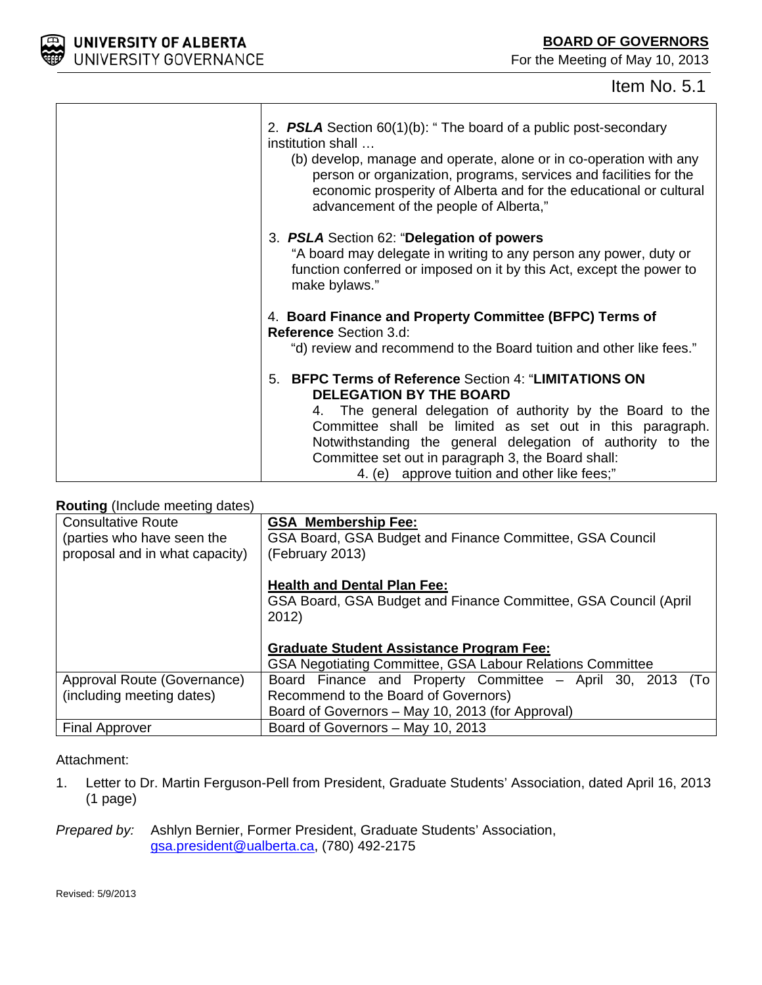



| 2. <b>PSLA</b> Section $60(1)(b)$ : "The board of a public post-secondary<br>institution shall<br>(b) develop, manage and operate, alone or in co-operation with any<br>person or organization, programs, services and facilities for the<br>economic prosperity of Alberta and for the educational or cultural<br>advancement of the people of Alberta,"                                       |
|-------------------------------------------------------------------------------------------------------------------------------------------------------------------------------------------------------------------------------------------------------------------------------------------------------------------------------------------------------------------------------------------------|
| 3. PSLA Section 62: "Delegation of powers<br>"A board may delegate in writing to any person any power, duty or<br>function conferred or imposed on it by this Act, except the power to<br>make bylaws."                                                                                                                                                                                         |
| 4. Board Finance and Property Committee (BFPC) Terms of<br><b>Reference Section 3.d:</b><br>"d) review and recommend to the Board tuition and other like fees."                                                                                                                                                                                                                                 |
| <b>BFPC Terms of Reference Section 4: "LIMITATIONS ON</b><br>5.<br><b>DELEGATION BY THE BOARD</b><br>4. The general delegation of authority by the Board to the<br>Committee shall be limited as set out in this paragraph.<br>Notwithstanding the general delegation of authority to the<br>Committee set out in paragraph 3, the Board shall:<br>4. (e) approve tuition and other like fees;" |

# **Routing** (Include meeting dates)

| <b>Consultative Route</b><br>(parties who have seen the<br>proposal and in what capacity) | <b>GSA Membership Fee:</b><br>GSA Board, GSA Budget and Finance Committee, GSA Council<br>(February 2013)      |  |  |  |  |  |
|-------------------------------------------------------------------------------------------|----------------------------------------------------------------------------------------------------------------|--|--|--|--|--|
|                                                                                           | <b>Health and Dental Plan Fee:</b><br>GSA Board, GSA Budget and Finance Committee, GSA Council (April<br>2012) |  |  |  |  |  |
|                                                                                           | <b>Graduate Student Assistance Program Fee:</b>                                                                |  |  |  |  |  |
|                                                                                           | GSA Negotiating Committee, GSA Labour Relations Committee                                                      |  |  |  |  |  |
| Approval Route (Governance)                                                               | Board Finance and Property Committee - April 30, 2013 (To                                                      |  |  |  |  |  |
| (including meeting dates)                                                                 | Recommend to the Board of Governors)                                                                           |  |  |  |  |  |
|                                                                                           | Board of Governors – May 10, 2013 (for Approval)                                                               |  |  |  |  |  |
| <b>Final Approver</b>                                                                     | Board of Governors - May 10, 2013                                                                              |  |  |  |  |  |

### Attachment:

1. Letter to Dr. Martin Ferguson-Pell from President, Graduate Students' Association, dated April 16, 2013 (1 page)

*Prepared by:* Ashlyn Bernier, Former President, Graduate Students' Association, gsa.president@ualberta.ca, (780) 492-2175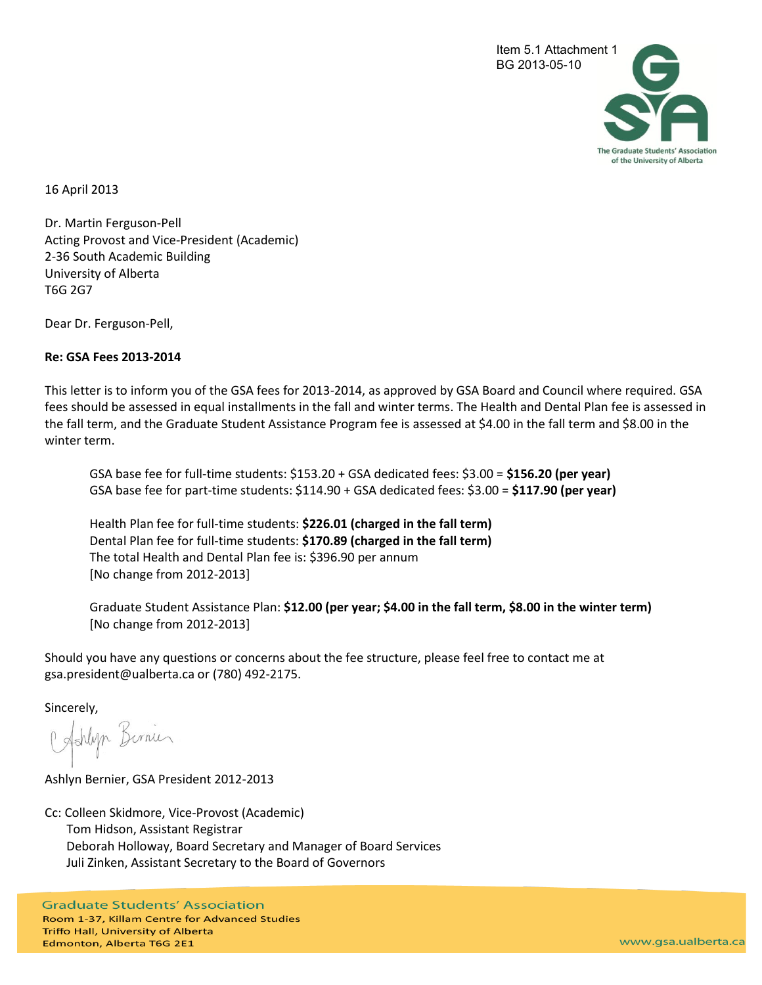

16 April 2013

Dr. Martin Ferguson-Pell Acting Provost and Vice-President (Academic) 2-36 South Academic Building University of Alberta T6G 2G7

Dear Dr. Ferguson-Pell,

#### **Re: GSA Fees 2013-2014**

This letter is to inform you of the GSA fees for 2013-2014, as approved by GSA Board and Council where required. GSA fees should be assessed in equal installments in the fall and winter terms. The Health and Dental Plan fee is assessed in the fall term, and the Graduate Student Assistance Program fee is assessed at \$4.00 in the fall term and \$8.00 in the winter term.

GSA base fee for full-time students: \$153.20 + GSA dedicated fees: \$3.00 = **\$156.20 (per year)**  GSA base fee for part-time students: \$114.90 + GSA dedicated fees: \$3.00 = **\$117.90 (per year)** 

Health Plan fee for full-time students: **\$226.01 (charged in the fall term)**  Dental Plan fee for full-time students: **\$170.89 (charged in the fall term)**  The total Health and Dental Plan fee is: \$396.90 per annum [No change from 2012-2013]

Graduate Student Assistance Plan: **\$12.00 (per year; \$4.00 in the fall term, \$8.00 in the winter term)**  [No change from 2012-2013]

Should you have any questions or concerns about the fee structure, please feel free to contact me at gsa.president@ualberta.ca or (780) 492-2175.

Sincerely,

C Ashlyn Birnier

Ashlyn Bernier, GSA President 2012-2013

Cc: Colleen Skidmore, Vice-Provost (Academic) Tom Hidson, Assistant Registrar Deborah Holloway, Board Secretary and Manager of Board Services Juli Zinken, Assistant Secretary to the Board of Governors

**Graduate Students' Association** Room 1-37, Killam Centre for Advanced Studies Triffo Hall, University of Alberta Edmonton, Alberta T6G 2E1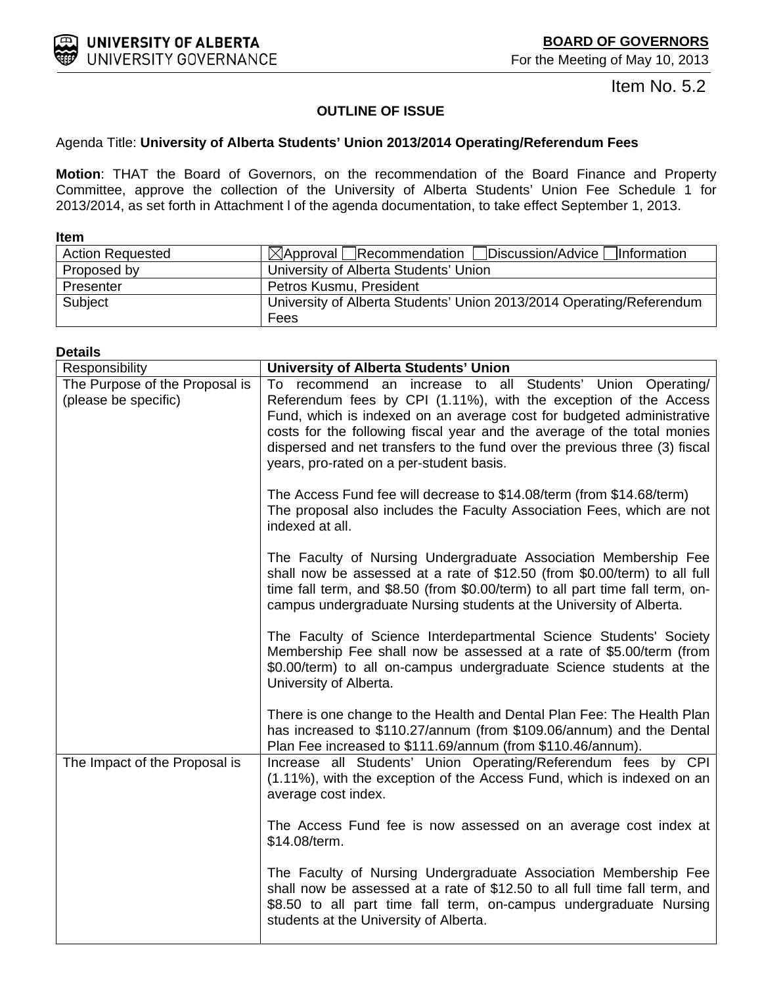Item No. 5.2

# **OUTLINE OF ISSUE**

# <span id="page-4-0"></span>Agenda Title: **University of Alberta Students' Union 2013/2014 Operating/Referendum Fees**

**Motion**: THAT the Board of Governors, on the recommendation of the Board Finance and Property Committee, approve the collection of the University of Alberta Students' Union Fee Schedule 1 for 2013/2014, as set forth in Attachment l of the agenda documentation, to take effect September 1, 2013.

| <b>Item</b>             |                                                                      |
|-------------------------|----------------------------------------------------------------------|
| <b>Action Requested</b> | $\boxtimes$ Approval Recommendation Discussion/Advice   Information  |
| Proposed by             | University of Alberta Students' Union                                |
| Presenter               | Petros Kusmu, President                                              |
| Subject                 | University of Alberta Students' Union 2013/2014 Operating/Referendum |
|                         | Fees                                                                 |

#### **Details**

| Responsibility                                         | <b>University of Alberta Students' Union</b>                                                                                                                                                                                                                                                                                                                                                                 |  |  |  |  |
|--------------------------------------------------------|--------------------------------------------------------------------------------------------------------------------------------------------------------------------------------------------------------------------------------------------------------------------------------------------------------------------------------------------------------------------------------------------------------------|--|--|--|--|
| The Purpose of the Proposal is<br>(please be specific) | To recommend an increase to all Students' Union Operating/<br>Referendum fees by CPI (1.11%), with the exception of the Access<br>Fund, which is indexed on an average cost for budgeted administrative<br>costs for the following fiscal year and the average of the total monies<br>dispersed and net transfers to the fund over the previous three (3) fiscal<br>years, pro-rated on a per-student basis. |  |  |  |  |
|                                                        | The Access Fund fee will decrease to \$14.08/term (from \$14.68/term)<br>The proposal also includes the Faculty Association Fees, which are not<br>indexed at all.                                                                                                                                                                                                                                           |  |  |  |  |
|                                                        | The Faculty of Nursing Undergraduate Association Membership Fee<br>shall now be assessed at a rate of \$12.50 (from \$0.00/term) to all full<br>time fall term, and \$8.50 (from \$0.00/term) to all part time fall term, on-<br>campus undergraduate Nursing students at the University of Alberta.                                                                                                         |  |  |  |  |
|                                                        | The Faculty of Science Interdepartmental Science Students' Society<br>Membership Fee shall now be assessed at a rate of \$5.00/term (from<br>\$0.00/term) to all on-campus undergraduate Science students at the<br>University of Alberta.                                                                                                                                                                   |  |  |  |  |
|                                                        | There is one change to the Health and Dental Plan Fee: The Health Plan<br>has increased to \$110.27/annum (from \$109.06/annum) and the Dental<br>Plan Fee increased to \$111.69/annum (from \$110.46/annum).                                                                                                                                                                                                |  |  |  |  |
| The Impact of the Proposal is                          | Increase all Students' Union Operating/Referendum fees by CPI<br>(1.11%), with the exception of the Access Fund, which is indexed on an<br>average cost index.                                                                                                                                                                                                                                               |  |  |  |  |
|                                                        | The Access Fund fee is now assessed on an average cost index at<br>\$14.08/term.                                                                                                                                                                                                                                                                                                                             |  |  |  |  |
|                                                        | The Faculty of Nursing Undergraduate Association Membership Fee<br>shall now be assessed at a rate of \$12.50 to all full time fall term, and<br>\$8.50 to all part time fall term, on-campus undergraduate Nursing<br>students at the University of Alberta.                                                                                                                                                |  |  |  |  |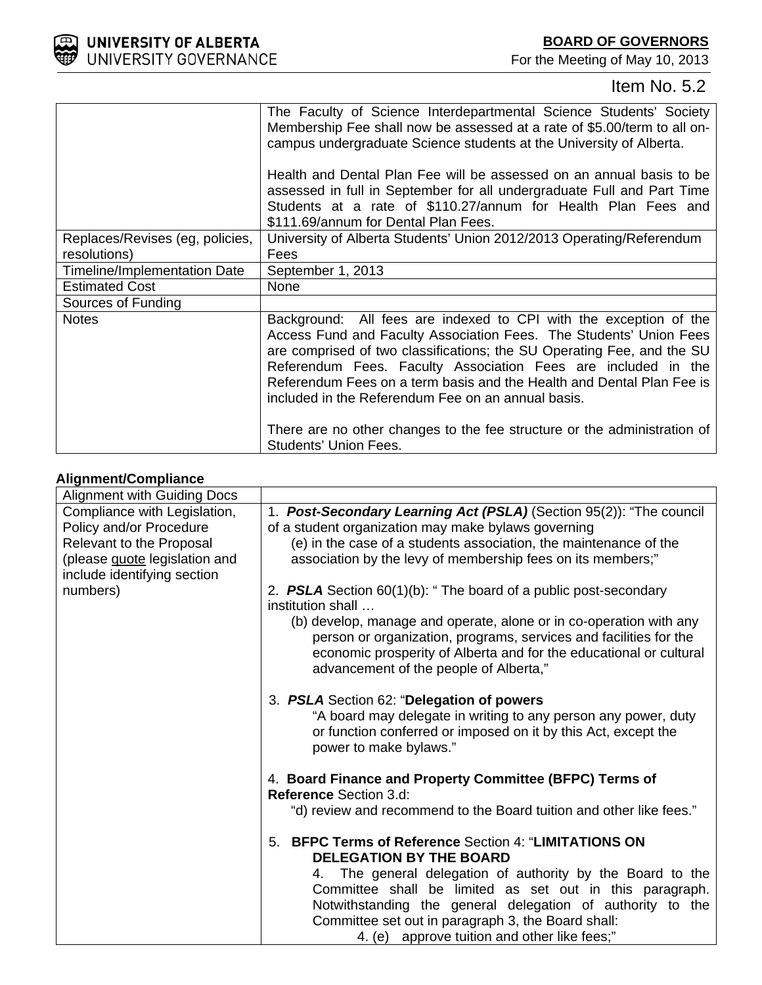

# Item No. 5.2

|                                 | The Faculty of Science Interdepartmental Science Students' Society<br>Membership Fee shall now be assessed at a rate of \$5.00/term to all on-<br>campus undergraduate Science students at the University of Alberta.<br>Health and Dental Plan Fee will be assessed on an annual basis to be                                                                                                                     |
|---------------------------------|-------------------------------------------------------------------------------------------------------------------------------------------------------------------------------------------------------------------------------------------------------------------------------------------------------------------------------------------------------------------------------------------------------------------|
|                                 | assessed in full in September for all undergraduate Full and Part Time<br>Students at a rate of \$110.27/annum for Health Plan Fees and<br>\$111.69/annum for Dental Plan Fees.                                                                                                                                                                                                                                   |
| Replaces/Revises (eg, policies, | University of Alberta Students' Union 2012/2013 Operating/Referendum                                                                                                                                                                                                                                                                                                                                              |
| resolutions)                    | Fees                                                                                                                                                                                                                                                                                                                                                                                                              |
| Timeline/Implementation Date    | September 1, 2013                                                                                                                                                                                                                                                                                                                                                                                                 |
| <b>Estimated Cost</b>           | None                                                                                                                                                                                                                                                                                                                                                                                                              |
| Sources of Funding              |                                                                                                                                                                                                                                                                                                                                                                                                                   |
| <b>Notes</b>                    | Background: All fees are indexed to CPI with the exception of the<br>Access Fund and Faculty Association Fees. The Students' Union Fees<br>are comprised of two classifications; the SU Operating Fee, and the SU<br>Referendum Fees. Faculty Association Fees are included in the<br>Referendum Fees on a term basis and the Health and Dental Plan Fee is<br>included in the Referendum Fee on an annual basis. |
|                                 | There are no other changes to the fee structure or the administration of<br><b>Students' Union Fees.</b>                                                                                                                                                                                                                                                                                                          |

# **Alignment/Compliance**

| <b>Alignment with Guiding Docs</b> |                                                                                                                                                                                                                                                         |  |  |  |  |
|------------------------------------|---------------------------------------------------------------------------------------------------------------------------------------------------------------------------------------------------------------------------------------------------------|--|--|--|--|
| Compliance with Legislation,       | 1. Post-Secondary Learning Act (PSLA) (Section 95(2)): "The council                                                                                                                                                                                     |  |  |  |  |
| Policy and/or Procedure            | of a student organization may make bylaws governing                                                                                                                                                                                                     |  |  |  |  |
| Relevant to the Proposal           | (e) in the case of a students association, the maintenance of the                                                                                                                                                                                       |  |  |  |  |
| (please quote legislation and      | association by the levy of membership fees on its members;"                                                                                                                                                                                             |  |  |  |  |
| include identifying section        |                                                                                                                                                                                                                                                         |  |  |  |  |
| numbers)                           | 2. <b>PSLA</b> Section $60(1)(b)$ : "The board of a public post-secondary<br>institution shall                                                                                                                                                          |  |  |  |  |
|                                    | (b) develop, manage and operate, alone or in co-operation with any<br>person or organization, programs, services and facilities for the<br>economic prosperity of Alberta and for the educational or cultural<br>advancement of the people of Alberta," |  |  |  |  |
|                                    | 3. PSLA Section 62: "Delegation of powers<br>"A board may delegate in writing to any person any power, duty<br>or function conferred or imposed on it by this Act, except the<br>power to make bylaws."                                                 |  |  |  |  |
|                                    | 4. Board Finance and Property Committee (BFPC) Terms of<br><b>Reference Section 3.d:</b>                                                                                                                                                                |  |  |  |  |
|                                    | "d) review and recommend to the Board tuition and other like fees."                                                                                                                                                                                     |  |  |  |  |
|                                    | <b>BFPC Terms of Reference Section 4: "LIMITATIONS ON</b><br>5.<br><b>DELEGATION BY THE BOARD</b>                                                                                                                                                       |  |  |  |  |
|                                    | 4. The general delegation of authority by the Board to the                                                                                                                                                                                              |  |  |  |  |
|                                    | Committee shall be limited as set out in this paragraph.                                                                                                                                                                                                |  |  |  |  |
|                                    | Notwithstanding the general delegation of authority to the                                                                                                                                                                                              |  |  |  |  |
|                                    | Committee set out in paragraph 3, the Board shall:                                                                                                                                                                                                      |  |  |  |  |
|                                    | 4. (e) approve tuition and other like fees;"                                                                                                                                                                                                            |  |  |  |  |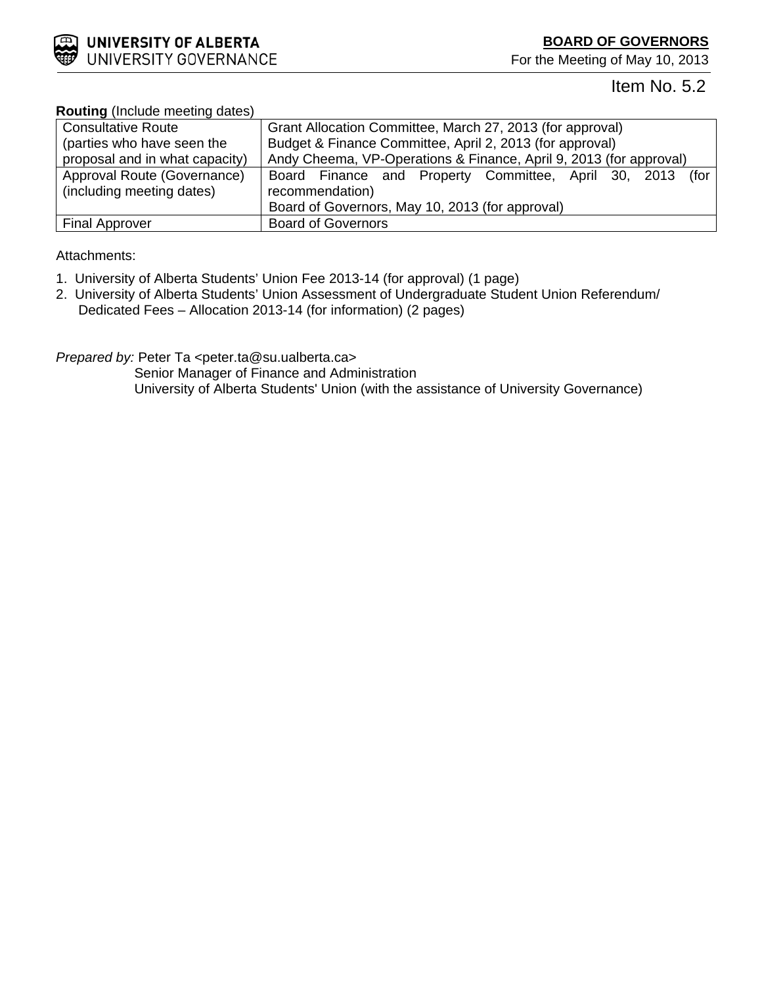

# Item No. 5.2

| <b>Routing</b> (include meeting dates) |                                                                    |  |  |  |  |  |  |
|----------------------------------------|--------------------------------------------------------------------|--|--|--|--|--|--|
| <b>Consultative Route</b>              | Grant Allocation Committee, March 27, 2013 (for approval)          |  |  |  |  |  |  |
| (parties who have seen the             | Budget & Finance Committee, April 2, 2013 (for approval)           |  |  |  |  |  |  |
| proposal and in what capacity)         | Andy Cheema, VP-Operations & Finance, April 9, 2013 (for approval) |  |  |  |  |  |  |
| Approval Route (Governance)            | Board Finance and Property Committee, April 30, 2013 (for          |  |  |  |  |  |  |
| (including meeting dates)              | recommendation)                                                    |  |  |  |  |  |  |
|                                        | Board of Governors, May 10, 2013 (for approval)                    |  |  |  |  |  |  |
| <b>Final Approver</b>                  | <b>Board of Governors</b>                                          |  |  |  |  |  |  |

# **Routing** (Include meeting dates)

# Attachments:

- 1. University of Alberta Students' Union Fee 2013-14 (for approval) (1 page)
- 2. University of Alberta Students' Union Assessment of Undergraduate Student Union Referendum/ Dedicated Fees – Allocation 2013-14 (for information) (2 pages)

*Prepared by:* Peter Ta <peter.ta@su.ualberta.ca>

 Senior Manager of Finance and Administration University of Alberta Students' Union (with the assistance of University Governance)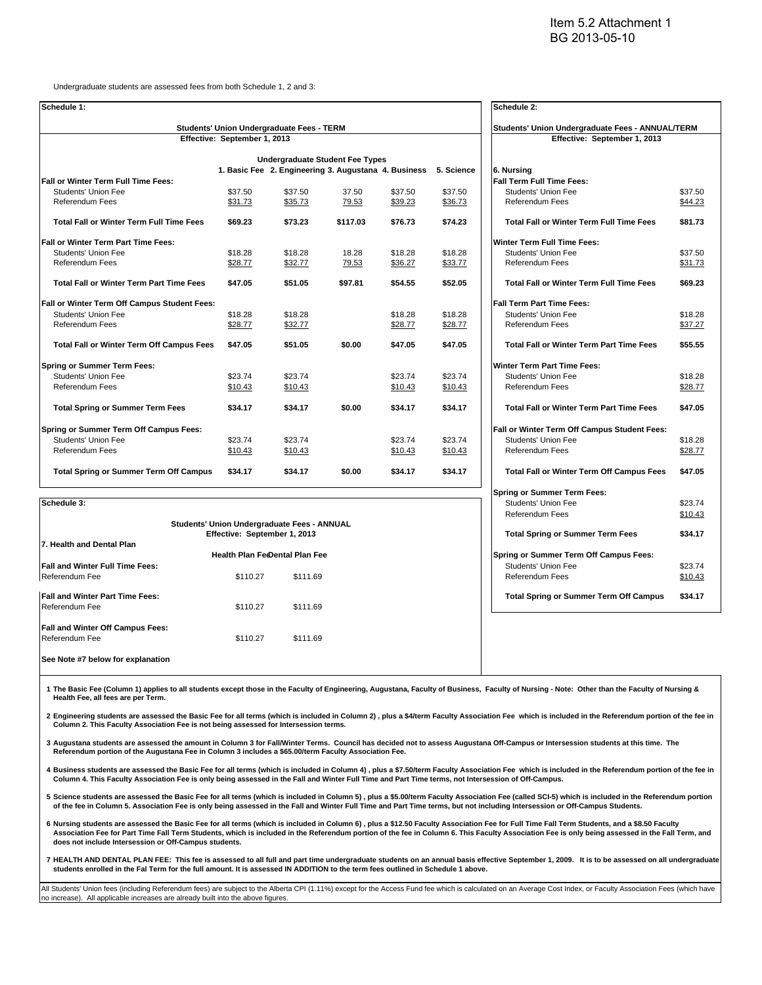Undergraduate students are assessed fees from both Schedule 1, 2 and 3:

| Schedule 1:                                      |                                                  |                                                                 |          |         |         | Schedule 2:                                      |         |  |
|--------------------------------------------------|--------------------------------------------------|-----------------------------------------------------------------|----------|---------|---------|--------------------------------------------------|---------|--|
| Students' Union Undergraduate Fees - TERM        | Students' Union Undergraduate Fees - ANNUAL/TERM |                                                                 |          |         |         |                                                  |         |  |
|                                                  | Effective: September 1, 2013                     |                                                                 |          |         |         | Effective: September 1, 2013                     |         |  |
|                                                  | <b>Undergraduate Student Fee Types</b>           |                                                                 |          |         |         |                                                  |         |  |
|                                                  |                                                  | 1. Basic Fee 2. Engineering 3. Augustana 4. Business 5. Science |          |         |         | 6. Nursing                                       |         |  |
| Fall or Winter Term Full Time Fees:              |                                                  |                                                                 |          |         |         | Fall Term Full Time Fees:                        |         |  |
| Students' Union Fee                              | \$37.50                                          | \$37.50                                                         | 37.50    | \$37.50 | \$37.50 | <b>Students' Union Fee</b>                       | \$37.50 |  |
| <b>Referendum Fees</b>                           | \$31.73                                          | \$35.73                                                         | 79.53    | \$39.23 | \$36.73 | Referendum Fees                                  | \$44.23 |  |
| <b>Total Fall or Winter Term Full Time Fees</b>  | \$69.23                                          | \$73.23                                                         | \$117.03 | \$76.73 | \$74.23 | <b>Total Fall or Winter Term Full Time Fees</b>  | \$81.73 |  |
| <b>Fall or Winter Term Part Time Fees:</b>       |                                                  |                                                                 |          |         |         | <b>Winter Term Full Time Fees:</b>               |         |  |
| Students' Union Fee                              | \$18.28                                          | \$18.28                                                         | 18.28    | \$18.28 | \$18.28 | Students' Union Fee                              | \$37.50 |  |
| <b>Referendum Fees</b>                           | \$28.77                                          | \$32.77                                                         | 79.53    | \$36.27 | \$33.77 | Referendum Fees                                  | \$31.73 |  |
| <b>Total Fall or Winter Term Part Time Fees</b>  | \$47.05                                          | \$51.05                                                         | \$97.81  | \$54.55 | \$52.05 | <b>Total Fall or Winter Term Full Time Fees</b>  | \$69.23 |  |
| Fall or Winter Term Off Campus Student Fees:     |                                                  |                                                                 |          |         |         | <b>Fall Term Part Time Fees:</b>                 |         |  |
| Students' Union Fee                              | \$18.28                                          | \$18.28                                                         |          | \$18.28 | \$18.28 | <b>Students' Union Fee</b>                       | \$18.28 |  |
| <b>Referendum Fees</b>                           | \$28.77                                          | \$32.77                                                         |          | \$28.77 | \$28.77 | Referendum Fees                                  | \$37.27 |  |
| <b>Total Fall or Winter Term Off Campus Fees</b> | \$47.05                                          | \$51.05                                                         | \$0.00   | \$47.05 | \$47.05 | <b>Total Fall or Winter Term Part Time Fees</b>  | \$55.55 |  |
| Spring or Summer Term Fees:                      |                                                  |                                                                 |          |         |         | Winter Term Part Time Fees:                      |         |  |
| Students' Union Fee                              | \$23.74                                          | \$23.74                                                         |          | \$23.74 | \$23.74 | <b>Students' Union Fee</b>                       | \$18.28 |  |
| <b>Referendum Fees</b>                           | \$10.43                                          | \$10.43                                                         |          | \$10.43 | \$10.43 | <b>Referendum Fees</b>                           | \$28.77 |  |
| <b>Total Spring or Summer Term Fees</b>          | \$34.17                                          | \$34.17                                                         | \$0.00   | \$34.17 | \$34.17 | <b>Total Fall or Winter Term Part Time Fees</b>  | \$47.05 |  |
| Spring or Summer Term Off Campus Fees:           |                                                  |                                                                 |          |         |         | Fall or Winter Term Off Campus Student Fees:     |         |  |
| Students' Union Fee                              | \$23.74                                          | \$23.74                                                         |          | \$23.74 | \$23.74 | Students' Union Fee                              | \$18.28 |  |
| <b>Referendum Fees</b>                           | \$10.43                                          | \$10.43                                                         |          | \$10.43 | \$10.43 | Referendum Fees                                  | \$28.77 |  |
| <b>Total Spring or Summer Term Off Campus</b>    | \$34.17                                          | \$34.17                                                         | \$0.00   | \$34.17 | \$34.17 | <b>Total Fall or Winter Term Off Campus Fees</b> | \$47.05 |  |
|                                                  |                                                  |                                                                 |          |         |         | <b>Spring or Summer Term Fees:</b>               |         |  |
| Schedule 3:                                      |                                                  |                                                                 |          |         |         | <b>Students' Union Fee</b>                       | \$23.74 |  |

|                                             |                                         |          |         | <b>Referendum Fees</b>                        |  | \$10.43 |
|---------------------------------------------|-----------------------------------------|----------|---------|-----------------------------------------------|--|---------|
| Students' Union Undergraduate Fees - ANNUAL | <b>Total Spring or Summer Term Fees</b> |          | \$34.17 |                                               |  |         |
| 7. Health and Dental Plan                   |                                         |          |         |                                               |  |         |
|                                             | <b>Health Plan FeeDental Plan Fee</b>   |          |         | Spring or Summer Term Off Campus Fees:        |  |         |
| <b>Fall and Winter Full Time Fees:</b>      |                                         |          |         | Students' Union Fee                           |  | \$23.74 |
| Referendum Fee                              | \$110.27                                | \$111.69 |         | <b>Referendum Fees</b>                        |  | \$10.43 |
| <b>Fall and Winter Part Time Fees:</b>      |                                         |          |         | <b>Total Spring or Summer Term Off Campus</b> |  | \$34.17 |
| Referendum Fee                              | \$110.27                                | \$111.69 |         |                                               |  |         |
| <b>Fall and Winter Off Campus Fees:</b>     |                                         |          |         |                                               |  |         |
| Referendum Fee                              | \$110.27                                | \$111.69 |         |                                               |  |         |
| See Note #7 below for explanation           |                                         |          |         |                                               |  |         |

1 The Basic Fee (Column 1) applies to all students except those in the Faculty of Engineering, Augustana, Faculty of Business, Faculty of Nursing - Note: Other than the Faculty of Nursing & **Health Fee, all fees are per Term.**

**2 Engineering students are assessed the Basic Fee for all terms (which is included in Column 2) , plus a \$4/term Faculty Association Fee which is included in the Referendum portion of the fee in Column 2. This Faculty Association Fee is not being assessed for Intersession terms.**

**3 Augustana students are assessed the amount in Column 3 for Fall/Winter Terms. Council has decided not to assess Augustana Off-Campus or Intersession students at this time. The Referendum portion of the Augustana Fee in Column 3 includes a \$65.00/term Faculty Association Fee.**

**4 Business students are assessed the Basic Fee for all terms (which is included in Column 4) , plus a \$7.50/term Faculty Association Fee which is included in the Referendum portion of the fee in Column 4. This Faculty Association Fee is only being assessed in the Fall and Winter Full Time and Part Time terms, not Intersession of Off-Campus.**

**5 Science students are assessed the Basic Fee for all terms (which is included in Column 5) , plus a \$5.00/term Faculty Association Fee (called SCI-5) which is included in the Referendum portion of the fee in Column 5. Association Fee is only being assessed in the Fall and Winter Full Time and Part Time terms, but not including Intersession or Off-Campus Students.**

- **6 Nursing students are assessed the Basic Fee for all terms (which is included in Column 6) , plus a \$12.50 Faculty Association Fee for Full Time Fall Term Students, and a \$8.50 Faculty Association Fee for Part Time Fall Term Students, which is included in the Referendum portion of the fee in Column 6. This Faculty Association Fee is only being assessed in the Fall Term, and does not include Intersession or Off-Campus students.**
- **7 HEALTH AND DENTAL PLAN FEE: This fee is assessed to all full and part time undergraduate students on an annual basis effective September 1, 2009. It is to be assessed on all undergraduate students enrolled in the Fal Term for the full amount. It is assessed IN ADDITION to the term fees outlined in Schedule 1 above.**

All Students' Union fees (including Referendum fees) are subject to the Alberta CPI (1.11%) except for the Access Fund fee which is calculated on an Average Cost Index, or Faculty Association Fees (which have no increase). All applicable increases are already built into the above figure

| Effective: September 1, 2013                     |         |
|--------------------------------------------------|---------|
|                                                  |         |
| 6. Nursing                                       |         |
| <b>Fall Term Full Time Fees:</b>                 |         |
| Students' Union Fee                              | \$37.50 |
| Referendum Fees                                  | \$44.23 |
|                                                  |         |
| <b>Total Fall or Winter Term Full Time Fees</b>  | \$81.73 |
| <b>Winter Term Full Time Fees:</b>               |         |
| Students' Union Fee                              | \$37.50 |
| Referendum Fees                                  | \$31.73 |
|                                                  |         |
| <b>Total Fall or Winter Term Full Time Fees</b>  | \$69.23 |
| <b>Fall Term Part Time Fees:</b>                 |         |
| <b>Students' Union Fee</b>                       | \$18.28 |
| Referendum Fees                                  | \$37.27 |
|                                                  |         |
| <b>Total Fall or Winter Term Part Time Fees</b>  | \$55.55 |
| <b>Winter Term Part Time Fees:</b>               |         |
| Students' Union Fee                              | \$18.28 |
| Referendum Fees                                  | \$28.77 |
|                                                  |         |
| <b>Total Fall or Winter Term Part Time Fees</b>  | \$47.05 |
| Fall or Winter Term Off Campus Student Fees:     |         |
| <b>Students' Union Fee</b>                       | \$18.28 |
| Referendum Fees                                  | \$28.77 |
|                                                  |         |
| <b>Total Fall or Winter Term Off Campus Fees</b> | \$47.05 |
| <b>Spring or Summer Term Fees:</b>               |         |
| <b>Students' Union Fee</b>                       | \$23.74 |
| Referendum Fees                                  | \$10.43 |
|                                                  |         |
| <b>Total Spring or Summer Term Fees</b>          | \$34.17 |
| Spring or Summer Term Off Campus Fees:           |         |
| <b>Students' Union Fee</b>                       | \$23.74 |
| Referendum Fees                                  | \$10.43 |
|                                                  |         |
| <b>Total Spring or Summer Term Off Campus</b>    | \$34.17 |
|                                                  |         |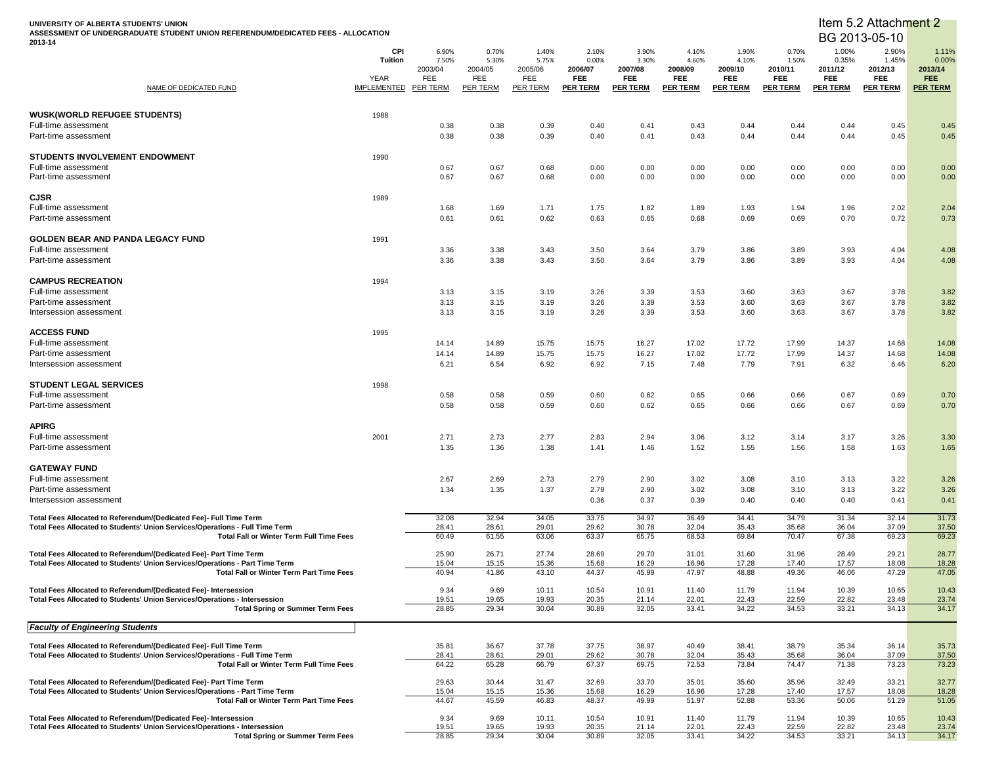**UNIVERSITY OF ALBERTA STUDENTS' UNION ASSESSMENT OF UNDERGRADUATE STUDENT UNION REFERENDUM/DEDICATED FEES - ALLOCATION 2013-14**

#### Item 5.2 Attachment 2

| NAME OF DEDICATED FUND                                                                                                                             | CPI<br><b>Tuition</b><br>YEAR<br><b>IMPLEMENTED</b> | 6.90%<br>7.50%<br>2003/04<br>FEE<br><b>PER TERM</b> | 0.70%<br>5.30%<br>2004/05<br>FEE<br><b>PER TERM</b> | 1.40%<br>5.75%<br>2005/06<br>FEE<br><b>PER TERM</b> | 2.10%<br>0.00%<br>2006/07<br><b>FEE</b><br><b>PER TERM</b> | 3.90%<br>3.30%<br>2007/08<br><b>FEE</b><br><b>PER TERM</b> | 4.10%<br>4.60%<br>2008/09<br><b>FEE</b><br><b>PER TERM</b> | 1.90%<br>4.10%<br>2009/10<br><b>FEE</b><br><b>PER TERM</b> | 0.70%<br>1.50%<br>2010/11<br>FEE<br><b>PER TERM</b> | 1.00%<br>0.35%<br>2011/12<br>FEE<br><b>PER TERM</b> | 2.90%<br>1.45%<br>2012/13<br><b>FEE</b><br><b>PER TERM</b> | 1.11%<br>0.00%<br>2013/14<br>FEE.<br><b>PER TERM</b> |
|----------------------------------------------------------------------------------------------------------------------------------------------------|-----------------------------------------------------|-----------------------------------------------------|-----------------------------------------------------|-----------------------------------------------------|------------------------------------------------------------|------------------------------------------------------------|------------------------------------------------------------|------------------------------------------------------------|-----------------------------------------------------|-----------------------------------------------------|------------------------------------------------------------|------------------------------------------------------|
| <b>WUSK(WORLD REFUGEE STUDENTS)</b>                                                                                                                | 1988                                                |                                                     |                                                     |                                                     |                                                            |                                                            |                                                            |                                                            |                                                     |                                                     |                                                            |                                                      |
| Full-time assessment<br>Part-time assessment                                                                                                       |                                                     | 0.38<br>0.38                                        | 0.38<br>0.38                                        | 0.39<br>0.39                                        | 0.40<br>0.40                                               | 0.41<br>0.41                                               | 0.43<br>0.43                                               | 0.44<br>0.44                                               | 0.44<br>0.44                                        | 0.44<br>0.44                                        | 0.45<br>0.45                                               | 0.45<br>0.45                                         |
| STUDENTS INVOLVEMENT ENDOWMENT                                                                                                                     | 1990                                                |                                                     |                                                     |                                                     |                                                            |                                                            |                                                            |                                                            |                                                     |                                                     |                                                            |                                                      |
| Full-time assessment<br>Part-time assessment                                                                                                       |                                                     | 0.67<br>0.67                                        | 0.67<br>0.67                                        | 0.68<br>0.68                                        | 0.00<br>0.00                                               | 0.00<br>0.00                                               | 0.00<br>0.00                                               | 0.00<br>0.00                                               | 0.00<br>0.00                                        | 0.00<br>0.00                                        | 0.00<br>0.00                                               | 0.00<br>0.00                                         |
| <b>CJSR</b>                                                                                                                                        | 1989                                                |                                                     |                                                     |                                                     |                                                            |                                                            |                                                            |                                                            |                                                     |                                                     |                                                            |                                                      |
| Full-time assessment<br>Part-time assessment                                                                                                       |                                                     | 1.68<br>0.61                                        | 1.69<br>0.61                                        | 1.71<br>0.62                                        | 1.75<br>0.63                                               | 1.82<br>0.65                                               | 1.89<br>0.68                                               | 1.93<br>0.69                                               | 1.94<br>0.69                                        | 1.96<br>0.70                                        | 2.02<br>0.72                                               | 2.04<br>0.73                                         |
| GOLDEN BEAR AND PANDA LEGACY FUND                                                                                                                  | 1991                                                |                                                     |                                                     |                                                     |                                                            |                                                            |                                                            |                                                            |                                                     |                                                     |                                                            |                                                      |
| Full-time assessment<br>Part-time assessment                                                                                                       |                                                     | 3.36<br>3.36                                        | 3.38<br>3.38                                        | 3.43<br>3.43                                        | 3.50<br>3.50                                               | 3.64<br>3.64                                               | 3.79<br>3.79                                               | 3.86<br>3.86                                               | 3.89<br>3.89                                        | 3.93<br>3.93                                        | 4.04<br>4.04                                               | 4.08<br>4.08                                         |
|                                                                                                                                                    |                                                     |                                                     |                                                     |                                                     |                                                            |                                                            |                                                            |                                                            |                                                     |                                                     |                                                            |                                                      |
| <b>CAMPUS RECREATION</b><br>Full-time assessment                                                                                                   | 1994                                                | 3.13                                                | 3.15                                                | 3.19                                                | 3.26                                                       | 3.39                                                       | 3.53                                                       | 3.60                                                       | 3.63                                                | 3.67                                                | 3.78                                                       | 3.82                                                 |
| Part-time assessment                                                                                                                               |                                                     | 3.13                                                | 3.15                                                | 3.19                                                | 3.26                                                       | 3.39                                                       | 3.53                                                       | 3.60                                                       | 3.63                                                | 3.67                                                | 3.78                                                       | 3.82                                                 |
| Intersession assessment                                                                                                                            |                                                     | 3.13                                                | 3.15                                                | 3.19                                                | 3.26                                                       | 3.39                                                       | 3.53                                                       | 3.60                                                       | 3.63                                                | 3.67                                                | 3.78                                                       | 3.82                                                 |
| <b>ACCESS FUND</b><br>Full-time assessment                                                                                                         | 1995                                                | 14.14                                               | 14.89                                               | 15.75                                               | 15.75                                                      | 16.27                                                      | 17.02                                                      | 17.72                                                      | 17.99                                               | 14.37                                               | 14.68                                                      | 14.08                                                |
| Part-time assessment                                                                                                                               |                                                     | 14.14                                               | 14.89                                               | 15.75                                               | 15.75                                                      | 16.27                                                      | 17.02                                                      | 17.72                                                      | 17.99                                               | 14.37                                               | 14.68                                                      | 14.08                                                |
| Intersession assessment                                                                                                                            |                                                     | 6.21                                                | 6.54                                                | 6.92                                                | 6.92                                                       | 7.15                                                       | 7.48                                                       | 7.79                                                       | 7.91                                                | 6.32                                                | 6.46                                                       | 6.20                                                 |
| <b>STUDENT LEGAL SERVICES</b>                                                                                                                      | 1998                                                |                                                     |                                                     |                                                     |                                                            |                                                            |                                                            |                                                            |                                                     |                                                     |                                                            |                                                      |
| Full-time assessment<br>Part-time assessment                                                                                                       |                                                     | 0.58<br>0.58                                        | 0.58<br>0.58                                        | 0.59<br>0.59                                        | 0.60<br>0.60                                               | 0.62<br>0.62                                               | 0.65<br>0.65                                               | 0.66<br>0.66                                               | 0.66<br>0.66                                        | 0.67<br>0.67                                        | 0.69<br>0.69                                               | 0.70<br>0.70                                         |
|                                                                                                                                                    |                                                     |                                                     |                                                     |                                                     |                                                            |                                                            |                                                            |                                                            |                                                     |                                                     |                                                            |                                                      |
| <b>APIRG</b>                                                                                                                                       |                                                     |                                                     |                                                     |                                                     |                                                            |                                                            |                                                            |                                                            |                                                     |                                                     |                                                            |                                                      |
| Full-time assessment<br>Part-time assessment                                                                                                       | 2001                                                | 2.71<br>1.35                                        | 2.73<br>1.36                                        | 2.77<br>1.38                                        | 2.83<br>1.41                                               | 2.94<br>1.46                                               | 3.06<br>1.52                                               | 3.12<br>1.55                                               | 3.14<br>1.56                                        | 3.17<br>1.58                                        | 3.26<br>1.63                                               | 3.30<br>1.65                                         |
| <b>GATEWAY FUND</b>                                                                                                                                |                                                     |                                                     |                                                     |                                                     |                                                            |                                                            |                                                            |                                                            |                                                     |                                                     |                                                            |                                                      |
| Full-time assessment                                                                                                                               |                                                     | 2.67                                                | 2.69                                                | 2.73                                                | 2.79                                                       | 2.90                                                       | 3.02                                                       | 3.08                                                       | 3.10                                                | 3.13                                                | 3.22                                                       | 3.26                                                 |
| Part-time assessment                                                                                                                               |                                                     | 1.34                                                | 1.35                                                | 1.37                                                | 2.79                                                       | 2.90                                                       | 3.02                                                       | 3.08                                                       | 3.10                                                | 3.13                                                | 3.22                                                       | 3.26                                                 |
| Intersession assessment                                                                                                                            |                                                     |                                                     |                                                     |                                                     | 0.36                                                       | 0.37                                                       | 0.39                                                       | 0.40                                                       | 0.40                                                | 0.40                                                | 0.41                                                       | 0.41                                                 |
| Total Fees Allocated to Referendum/(Dedicated Fee)- Full Time Term<br>Total Fees Allocated to Students' Union Services/Operations - Full Time Term |                                                     | 32.08<br>28.41                                      | 32.94<br>28.61                                      | 34.05<br>29.01                                      | 33.75<br>29.62                                             | 34.97<br>30.78                                             | 36.49<br>32.04                                             | 34.41<br>35.43                                             | 34.79<br>35.68                                      | 31.34<br>36.04                                      | 32.14<br>37.09                                             | 31.73<br>37.50                                       |
| <b>Total Fall or Winter Term Full Time Fees</b>                                                                                                    |                                                     | 60.49                                               | 61.55                                               | 63.06                                               | 63.37                                                      | 65.75                                                      | 68.53                                                      | 69.84                                                      | 70.47                                               | 67.38                                               | 69.23                                                      | 69.23                                                |
| Total Fees Allocated to Referendum/(Dedicated Fee)- Part Time Term                                                                                 |                                                     | 25.90                                               | 26.71                                               | 27.74                                               | 28.69                                                      | 29.70                                                      | 31.01                                                      | 31.60                                                      | 31.96                                               | 28.49                                               | 29.21                                                      | 28.77                                                |
| Total Fees Allocated to Students' Union Services/Operations - Part Time Term<br><b>Total Fall or Winter Term Part Time Fees</b>                    |                                                     | 15.04<br>40.94                                      | 15.15<br>41.86                                      | 15.36<br>43.10                                      | 15.68<br>44.37                                             | 16.29<br>45.99                                             | 16.96<br>47.97                                             | 17.28<br>48.88                                             | 17.40<br>49.36                                      | 17.57<br>46.06                                      | 18.08<br>47.29                                             | 18.28<br>47.05                                       |
| Total Fees Allocated to Referendum/(Dedicated Fee)- Intersession                                                                                   |                                                     | 9.34                                                | 9.69                                                | 10.11                                               | 10.54                                                      | 10.91                                                      | 11.40                                                      | 11.79                                                      | 11.94                                               | 10.39                                               | 10.65                                                      | 10.43                                                |
| Total Fees Allocated to Students' Union Services/Operations - Intersession<br><b>Total Spring or Summer Term Fees</b>                              |                                                     | 19.51<br>28.85                                      | 19.65<br>29.34                                      | 19.93<br>30.04                                      | 20.35<br>30.89                                             | 21.14<br>32.05                                             | 22.01<br>33.41                                             | 22.43<br>34.22                                             | 22.59<br>34.53                                      | 22.82<br>33.21                                      | 23.48<br>34.13                                             | 23.74<br>34.17                                       |
| <b>Faculty of Engineering Students</b>                                                                                                             |                                                     |                                                     |                                                     |                                                     |                                                            |                                                            |                                                            |                                                            |                                                     |                                                     |                                                            |                                                      |
| Total Fees Allocated to Referendum/(Dedicated Fee)- Full Time Term                                                                                 |                                                     | 35.81                                               | 36.67                                               | 37.78                                               | 37.75                                                      | 38.97                                                      | 40.49                                                      | 38.41                                                      | 38.79                                               | 35.34                                               | 36.14                                                      | 35.73                                                |
| Total Fees Allocated to Students' Union Services/Operations - Full Time Term                                                                       |                                                     | 28.41                                               | 28.61                                               | 29.01                                               | 29.62                                                      | 30.78                                                      | 32.04                                                      | 35.43                                                      | 35.68                                               | 36.04                                               | 37.09                                                      | 37.50                                                |
| <b>Total Fall or Winter Term Full Time Fees</b>                                                                                                    |                                                     | 64.22                                               | 65.28                                               | 66.79                                               | 67.37                                                      | 69.75                                                      | 72.53                                                      | 73.84                                                      | 74.47                                               | 71.38                                               | 73.23                                                      | 73.23                                                |
| Total Fees Allocated to Referendum/(Dedicated Fee)- Part Time Term<br>Total Fees Allocated to Students' Union Services/Operations - Part Time Term |                                                     | 29.63<br>15.04                                      | 30.44<br>15.15                                      | 31.47<br>15.36                                      | 32.69<br>15.68                                             | 33.70<br>16.29                                             | 35.01<br>16.96                                             | 35.60<br>17.28                                             | 35.96<br>17.40                                      | 32.49<br>17.57                                      | 33.21<br>18.08                                             | 32.77<br>18.28                                       |
| <b>Total Fall or Winter Term Part Time Fees</b>                                                                                                    |                                                     | 44.67                                               | 45.59                                               | 46.83                                               | 48.37                                                      | 49.99                                                      | 51.97                                                      | 52.88                                                      | 53.36                                               | 50.06                                               | 51.29                                                      | 51.05                                                |
| Total Fees Allocated to Referendum/(Dedicated Fee)- Intersession                                                                                   |                                                     | 9.34                                                | 9.69                                                | 10.11                                               | 10.54                                                      | 10.91                                                      | 11.40                                                      | 11.79                                                      | 11.94                                               | 10.39                                               | 10.65                                                      | 10.43                                                |
| Total Fees Allocated to Students' Union Services/Operations - Intersession<br><b>Total Spring or Summer Term Fees</b>                              |                                                     | 19.51<br>28.85                                      | 19.65<br>29.34                                      | 19.93<br>30.04                                      | 20.35<br>30.89                                             | 21.14<br>32.05                                             | 22.01<br>33.41                                             | 22.43<br>34.22                                             | 22.59<br>34.53                                      | 22.82<br>33.21                                      | 23.48<br>34.13                                             | 23.74<br>34.17                                       |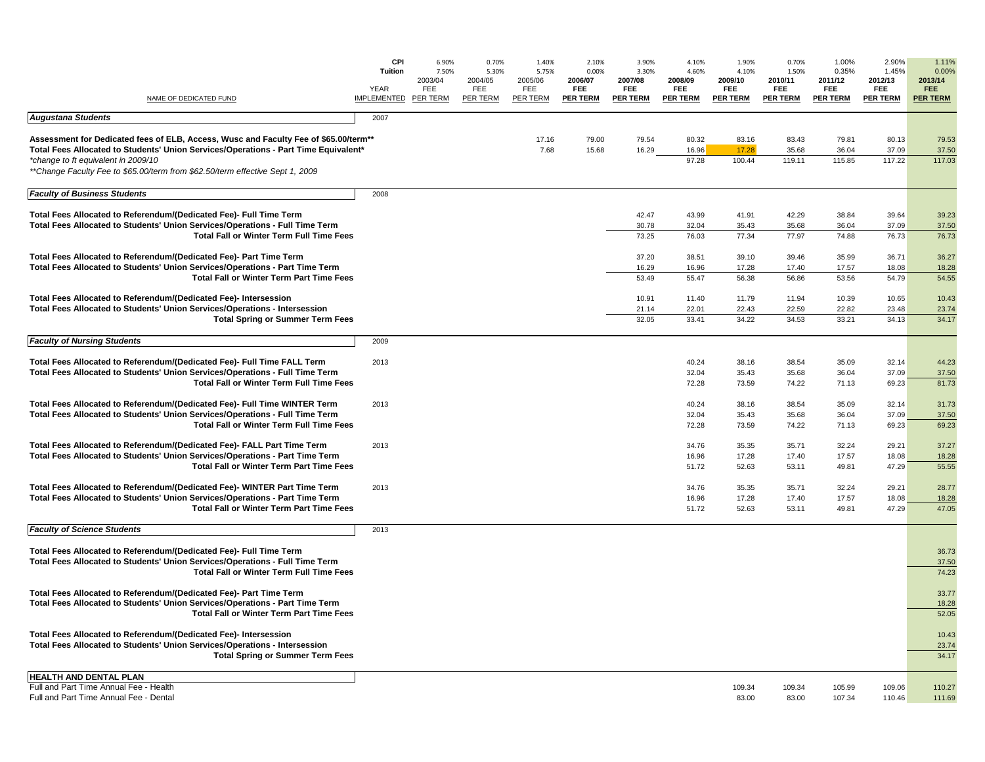| NAME OF DEDICATED FUND                                                                                                                                                                                                                                                                              | CPI<br>Tuition<br>YEAR<br><b>IMPLEMENTED</b> | 6.90%<br>7.50%<br>2003/04<br>FEE<br><b>PER TERM</b> | 0.70%<br>5.30%<br>2004/05<br>FEE<br><b>PER TERM</b> | 1.40%<br>5.75%<br>2005/06<br>FEE<br><b>PER TERM</b> | 2.10%<br>0.00%<br>2006/07<br>FEE<br><b>PER TERM</b> | 3.90%<br>3.30%<br>2007/08<br>FEE<br><b>PER TERM</b> | 4.10%<br>4.60%<br>2008/09<br>FEE<br><b>PER TERM</b> | 1.90%<br>4.10%<br>2009/10<br>FEE<br><b>PER TERM</b> | 0.70%<br>1.50%<br>2010/11<br>FEE<br><b>PER TERM</b> | 1.00%<br>0.35%<br>2011/12<br>FEE<br><b>PER TERM</b> | 2.90%<br>1.45%<br>2012/13<br><b>FEE</b><br><b>PER TERM</b> | 1.11%<br>0.00%<br>2013/14<br>FEE.<br><b>PER TERM</b> |
|-----------------------------------------------------------------------------------------------------------------------------------------------------------------------------------------------------------------------------------------------------------------------------------------------------|----------------------------------------------|-----------------------------------------------------|-----------------------------------------------------|-----------------------------------------------------|-----------------------------------------------------|-----------------------------------------------------|-----------------------------------------------------|-----------------------------------------------------|-----------------------------------------------------|-----------------------------------------------------|------------------------------------------------------------|------------------------------------------------------|
| <b>Augustana Students</b>                                                                                                                                                                                                                                                                           | 2007                                         |                                                     |                                                     |                                                     |                                                     |                                                     |                                                     |                                                     |                                                     |                                                     |                                                            |                                                      |
| Assessment for Dedicated fees of ELB, Access, Wusc and Faculty Fee of \$65.00/term**<br>Total Fees Allocated to Students' Union Services/Operations - Part Time Equivalent*<br>*change to ft equivalent in 2009/10<br>**Change Faculty Fee to \$65.00/term from \$62.50/term effective Sept 1, 2009 |                                              |                                                     |                                                     | 17.16<br>7.68                                       | 79.00<br>15.68                                      | 79.54<br>16.29                                      | 80.32<br>16.96<br>97.28                             | 83.16<br>17.28<br>100.44                            | 83.43<br>35.68<br>119.11                            | 79.81<br>36.04<br>115.85                            | 80.13<br>37.09<br>117.22                                   | 79.53<br>37.50<br>117.03                             |
| <b>Faculty of Business Students</b>                                                                                                                                                                                                                                                                 | 2008                                         |                                                     |                                                     |                                                     |                                                     |                                                     |                                                     |                                                     |                                                     |                                                     |                                                            |                                                      |
| Total Fees Allocated to Referendum/(Dedicated Fee)- Full Time Term<br>Total Fees Allocated to Students' Union Services/Operations - Full Time Term<br><b>Total Fall or Winter Term Full Time Fees</b>                                                                                               |                                              |                                                     |                                                     |                                                     |                                                     | 42.47<br>30.78<br>73.25                             | 43.99<br>32.04<br>76.03                             | 41.91<br>35.43<br>77.34                             | 42.29<br>35.68<br>77.97                             | 38.84<br>36.04<br>74.88                             | 39.64<br>37.09<br>76.73                                    | 39.23<br>37.50<br>76.73                              |
| Total Fees Allocated to Referendum/(Dedicated Fee)- Part Time Term<br>Total Fees Allocated to Students' Union Services/Operations - Part Time Term<br><b>Total Fall or Winter Term Part Time Fees</b>                                                                                               |                                              |                                                     |                                                     |                                                     |                                                     | 37.20<br>16.29<br>53.49                             | 38.51<br>16.96<br>55.47                             | 39.10<br>17.28<br>56.38                             | 39.46<br>17.40<br>56.86                             | 35.99<br>17.57<br>53.56                             | 36.71<br>18.08<br>54.79                                    | 36.27<br>18.28<br>54.55                              |
| Total Fees Allocated to Referendum/(Dedicated Fee)- Intersession<br>Total Fees Allocated to Students' Union Services/Operations - Intersession<br><b>Total Spring or Summer Term Fees</b>                                                                                                           |                                              |                                                     |                                                     |                                                     |                                                     | 10.91<br>21.14<br>32.05                             | 11.40<br>22.01<br>33.41                             | 11.79<br>22.43<br>34.22                             | 11.94<br>22.59<br>34.53                             | 10.39<br>22.82<br>33.21                             | 10.65<br>23.48<br>34.13                                    | 10.43<br>23.74<br>34.17                              |
| <b>Faculty of Nursing Students</b>                                                                                                                                                                                                                                                                  | 2009                                         |                                                     |                                                     |                                                     |                                                     |                                                     |                                                     |                                                     |                                                     |                                                     |                                                            |                                                      |
| Total Fees Allocated to Referendum/(Dedicated Fee)- Full Time FALL Term<br>Total Fees Allocated to Students' Union Services/Operations - Full Time Term<br><b>Total Fall or Winter Term Full Time Fees</b>                                                                                          | 2013                                         |                                                     |                                                     |                                                     |                                                     |                                                     | 40.24<br>32.04<br>72.28                             | 38.16<br>35.43<br>73.59                             | 38.54<br>35.68<br>74.22                             | 35.09<br>36.04<br>71.13                             | 32.14<br>37.09<br>69.23                                    | 44.23<br>37.50<br>81.73                              |
| Total Fees Allocated to Referendum/(Dedicated Fee)- Full Time WINTER Term<br>Total Fees Allocated to Students' Union Services/Operations - Full Time Term<br><b>Total Fall or Winter Term Full Time Fees</b>                                                                                        | 2013                                         |                                                     |                                                     |                                                     |                                                     |                                                     | 40.24<br>32.04<br>72.28                             | 38.16<br>35.43<br>73.59                             | 38.54<br>35.68<br>74.22                             | 35.09<br>36.04<br>71.13                             | 32.14<br>37.09<br>69.23                                    | 31.73<br>37.50<br>69.23                              |
| Total Fees Allocated to Referendum/(Dedicated Fee)- FALL Part Time Term<br>Total Fees Allocated to Students' Union Services/Operations - Part Time Term<br><b>Total Fall or Winter Term Part Time Fees</b>                                                                                          | 2013                                         |                                                     |                                                     |                                                     |                                                     |                                                     | 34.76<br>16.96<br>51.72                             | 35.35<br>17.28<br>52.63                             | 35.71<br>17.40<br>53.11                             | 32.24<br>17.57<br>49.81                             | 29.21<br>18.08<br>47.29                                    | 37.27<br>18.28<br>55.55                              |
| Total Fees Allocated to Referendum/(Dedicated Fee)- WINTER Part Time Term<br>Total Fees Allocated to Students' Union Services/Operations - Part Time Term<br><b>Total Fall or Winter Term Part Time Fees</b>                                                                                        | 2013                                         |                                                     |                                                     |                                                     |                                                     |                                                     | 34.76<br>16.96<br>51.72                             | 35.35<br>17.28<br>52.63                             | 35.71<br>17.40<br>53.11                             | 32.24<br>17.57<br>49.81                             | 29.21<br>18.08<br>47.29                                    | 28.77<br>18.28<br>47.05                              |
| <b>Faculty of Science Students</b>                                                                                                                                                                                                                                                                  | 2013                                         |                                                     |                                                     |                                                     |                                                     |                                                     |                                                     |                                                     |                                                     |                                                     |                                                            |                                                      |
| Total Fees Allocated to Referendum/(Dedicated Fee)- Full Time Term<br>Total Fees Allocated to Students' Union Services/Operations - Full Time Term<br><b>Total Fall or Winter Term Full Time Fees</b>                                                                                               |                                              |                                                     |                                                     |                                                     |                                                     |                                                     |                                                     |                                                     |                                                     |                                                     |                                                            | 36.73<br>37.50<br>74.23                              |
| Total Fees Allocated to Referendum/(Dedicated Fee)- Part Time Term<br>Total Fees Allocated to Students' Union Services/Operations - Part Time Term<br>Total Fall or Winter Term Part Time Fees                                                                                                      |                                              |                                                     |                                                     |                                                     |                                                     |                                                     |                                                     |                                                     |                                                     |                                                     |                                                            | 33.77<br>18.28<br>52.05                              |
| Total Fees Allocated to Referendum/(Dedicated Fee)- Intersession<br>Total Fees Allocated to Students' Union Services/Operations - Intersession<br><b>Total Spring or Summer Term Fees</b>                                                                                                           |                                              |                                                     |                                                     |                                                     |                                                     |                                                     |                                                     |                                                     |                                                     |                                                     |                                                            | 10.43<br>23.74<br>34.17                              |
| <b>HEALTH AND DENTAL PLAN</b><br>Full and Part Time Annual Fee - Health<br>Full and Part Time Annual Fee - Dental                                                                                                                                                                                   |                                              |                                                     |                                                     |                                                     |                                                     |                                                     |                                                     | 109.34<br>83.00                                     | 109.34<br>83.00                                     | 105.99<br>107.34                                    | 109.06<br>110.46                                           | 110.27<br>111.69                                     |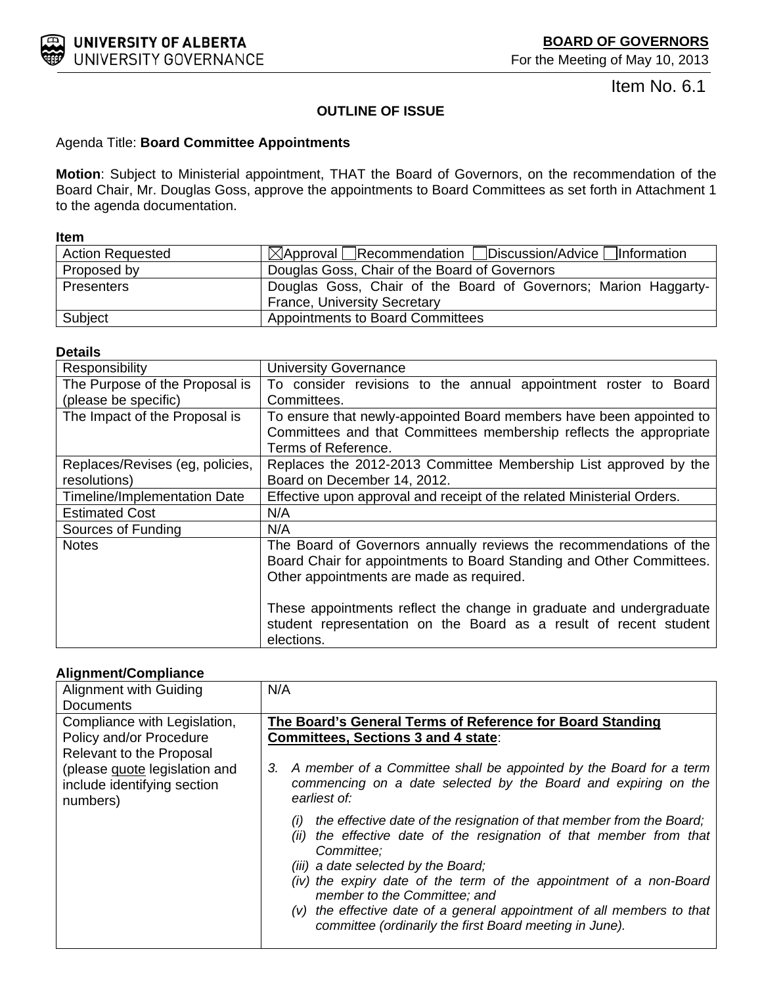<span id="page-10-0"></span>

Item No. 6.1

# **OUTLINE OF ISSUE**

## Agenda Title: **Board Committee Appointments**

**Motion**: Subject to Ministerial appointment, THAT the Board of Governors, on the recommendation of the Board Chair, Mr. Douglas Goss, approve the appointments to Board Committees as set forth in Attachment 1 to the agenda documentation.

#### **Item**

| <b>Action Requested</b> | $\boxtimes$ Approval Recommendation Discussion/Advice Information |
|-------------------------|-------------------------------------------------------------------|
| Proposed by             | Douglas Goss, Chair of the Board of Governors                     |
| <b>Presenters</b>       | Douglas Goss, Chair of the Board of Governors; Marion Haggarty-   |
|                         | <b>France, University Secretary</b>                               |
| Subject                 | <b>Appointments to Board Committees</b>                           |

## **Details**

| Responsibility                                  | <b>University Governance</b>                                                                                                                                                           |
|-------------------------------------------------|----------------------------------------------------------------------------------------------------------------------------------------------------------------------------------------|
| The Purpose of the Proposal is                  | To consider revisions to the annual appointment roster to Board                                                                                                                        |
| (please be specific)                            | Committees.                                                                                                                                                                            |
| The Impact of the Proposal is                   | To ensure that newly-appointed Board members have been appointed to                                                                                                                    |
|                                                 | Committees and that Committees membership reflects the appropriate<br>Terms of Reference.                                                                                              |
| Replaces/Revises (eg, policies,<br>resolutions) | Replaces the 2012-2013 Committee Membership List approved by the<br>Board on December 14, 2012.                                                                                        |
| Timeline/Implementation Date                    | Effective upon approval and receipt of the related Ministerial Orders.                                                                                                                 |
| <b>Estimated Cost</b>                           | N/A                                                                                                                                                                                    |
| Sources of Funding                              | N/A                                                                                                                                                                                    |
| <b>Notes</b>                                    | The Board of Governors annually reviews the recommendations of the<br>Board Chair for appointments to Board Standing and Other Committees.<br>Other appointments are made as required. |
|                                                 | These appointments reflect the change in graduate and undergraduate<br>student representation on the Board as a result of recent student<br>elections.                                 |

# **Alignment/Compliance**

| Alignment with Guiding                                                   | N/A                                                                                                                                                                                                                                                                                                                                                                                                                                                |
|--------------------------------------------------------------------------|----------------------------------------------------------------------------------------------------------------------------------------------------------------------------------------------------------------------------------------------------------------------------------------------------------------------------------------------------------------------------------------------------------------------------------------------------|
| <b>Documents</b>                                                         |                                                                                                                                                                                                                                                                                                                                                                                                                                                    |
| Compliance with Legislation,                                             | The Board's General Terms of Reference for Board Standing                                                                                                                                                                                                                                                                                                                                                                                          |
| Policy and/or Procedure                                                  | <b>Committees, Sections 3 and 4 state:</b>                                                                                                                                                                                                                                                                                                                                                                                                         |
| Relevant to the Proposal                                                 |                                                                                                                                                                                                                                                                                                                                                                                                                                                    |
| (please quote legislation and<br>include identifying section<br>numbers) | 3. A member of a Committee shall be appointed by the Board for a term<br>commencing on a date selected by the Board and expiring on the<br>earliest of:                                                                                                                                                                                                                                                                                            |
|                                                                          | the effective date of the resignation of that member from the Board;<br>(i)<br>(ii) the effective date of the resignation of that member from that<br>Committee:<br>(iii) a date selected by the Board;<br>(iv) the expiry date of the term of the appointment of a non-Board<br>member to the Committee; and<br>(v) the effective date of a general appointment of all members to that<br>committee (ordinarily the first Board meeting in June). |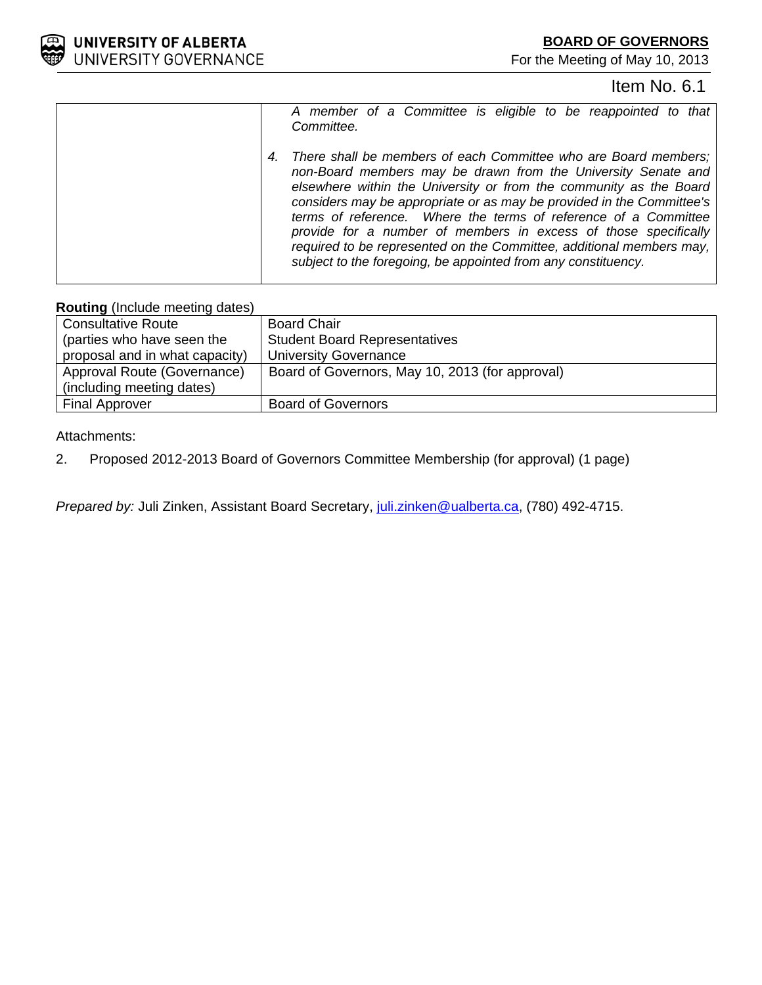

# Item No. 6.1

| A member of a Committee is eligible to be reappointed to that<br>Committee.                                                                                                                                                                                                                                                                                                                                                                                                                                                                                          |
|----------------------------------------------------------------------------------------------------------------------------------------------------------------------------------------------------------------------------------------------------------------------------------------------------------------------------------------------------------------------------------------------------------------------------------------------------------------------------------------------------------------------------------------------------------------------|
| There shall be members of each Committee who are Board members;<br>4.<br>non-Board members may be drawn from the University Senate and<br>elsewhere within the University or from the community as the Board<br>considers may be appropriate or as may be provided in the Committee's<br>terms of reference. Where the terms of reference of a Committee<br>provide for a number of members in excess of those specifically<br>required to be represented on the Committee, additional members may,<br>subject to the foregoing, be appointed from any constituency. |

### **Routing** (Include meeting dates)

| <b>Consultative Route</b>      | <b>Board Chair</b>                              |
|--------------------------------|-------------------------------------------------|
| (parties who have seen the     | <b>Student Board Representatives</b>            |
| proposal and in what capacity) | <b>University Governance</b>                    |
| Approval Route (Governance)    | Board of Governors, May 10, 2013 (for approval) |
| (including meeting dates)      |                                                 |
| <b>Final Approver</b>          | <b>Board of Governors</b>                       |

# Attachments:

2. Proposed 2012-2013 Board of Governors Committee Membership (for approval) (1 page)

*Prepared by: Juli Zinken, Assistant Board Secretary, juli.zinken@ualberta.ca, (780) 492-4715.*